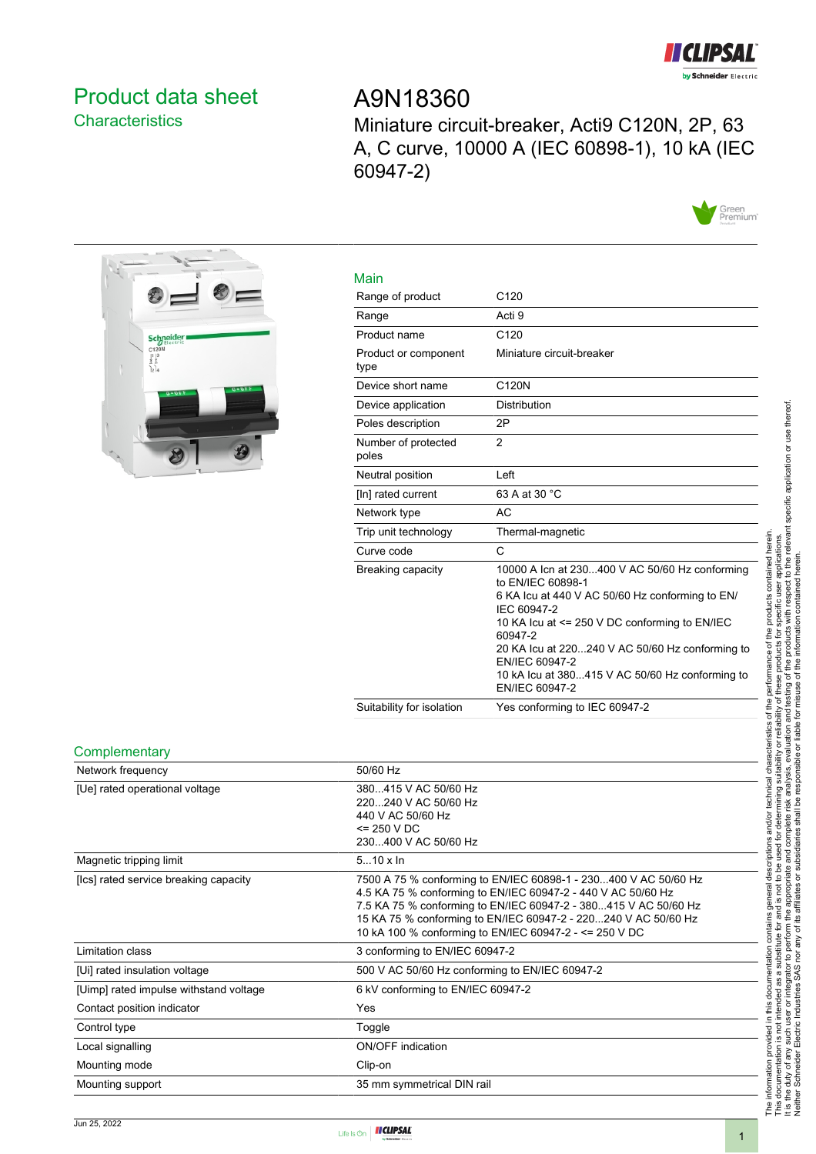

## <span id="page-0-0"></span>Product data sheet **Characteristics**

# A9N18360

Miniature circuit-breaker, Acti9 C120N, 2P, 63 A, C curve, 10000 A (IEC 60898-1), 10 kA (IEC 60947-2)





| Main                         |                                                                                                                                                                                                                                                                                                                                             |
|------------------------------|---------------------------------------------------------------------------------------------------------------------------------------------------------------------------------------------------------------------------------------------------------------------------------------------------------------------------------------------|
| Range of product             | C <sub>120</sub>                                                                                                                                                                                                                                                                                                                            |
| Range                        | Acti 9                                                                                                                                                                                                                                                                                                                                      |
| Product name                 | C <sub>120</sub>                                                                                                                                                                                                                                                                                                                            |
| Product or component<br>type | Miniature circuit-breaker                                                                                                                                                                                                                                                                                                                   |
| Device short name            | C120N                                                                                                                                                                                                                                                                                                                                       |
| Device application           | Distribution                                                                                                                                                                                                                                                                                                                                |
| Poles description            | 2P                                                                                                                                                                                                                                                                                                                                          |
| Number of protected<br>poles | $\overline{2}$                                                                                                                                                                                                                                                                                                                              |
| Neutral position             | Left                                                                                                                                                                                                                                                                                                                                        |
| [In] rated current           | 63 A at 30 °C                                                                                                                                                                                                                                                                                                                               |
| Network type                 | <b>AC</b>                                                                                                                                                                                                                                                                                                                                   |
| Trip unit technology         | Thermal-magnetic                                                                                                                                                                                                                                                                                                                            |
| Curve code                   | C                                                                                                                                                                                                                                                                                                                                           |
| Breaking capacity            | 10000 A Icn at 230400 V AC 50/60 Hz conforming<br>to EN/IEC 60898-1<br>6 KA Icu at 440 V AC 50/60 Hz conforming to EN/<br>IEC 60947-2<br>10 KA Icu at <= 250 V DC conforming to EN/IEC<br>60947-2<br>20 KA Icu at 220240 V AC 50/60 Hz conforming to<br>EN/IEC 60947-2<br>10 kA Icu at 380415 V AC 50/60 Hz conforming to<br>EN/IEC 60947-2 |
| Suitability for isolation    | Yes conforming to IEC 60947-2                                                                                                                                                                                                                                                                                                               |

#### **Complementary**

| . <i>.</i>                             |                                                                                                                                                                                                                                                                                                                                |
|----------------------------------------|--------------------------------------------------------------------------------------------------------------------------------------------------------------------------------------------------------------------------------------------------------------------------------------------------------------------------------|
| Network frequency                      | 50/60 Hz                                                                                                                                                                                                                                                                                                                       |
| [Ue] rated operational voltage         | 380415 V AC 50/60 Hz<br>220240 V AC 50/60 Hz<br>440 V AC 50/60 Hz<br>$= 250 VDC$<br>230400 V AC 50/60 Hz                                                                                                                                                                                                                       |
| Magnetic tripping limit                | $510 \times \ln$                                                                                                                                                                                                                                                                                                               |
| [Ics] rated service breaking capacity  | 7500 A 75 % conforming to EN/IEC 60898-1 - 230400 V AC 50/60 Hz<br>4.5 KA 75 % conforming to EN/IEC 60947-2 - 440 V AC 50/60 Hz<br>7.5 KA 75 % conforming to EN/IEC 60947-2 - 380415 V AC 50/60 Hz<br>15 KA 75 % conforming to EN/IEC 60947-2 - 220240 V AC 50/60 Hz<br>10 kA 100 % conforming to EN/IEC 60947-2 - <= 250 V DC |
| Limitation class                       | 3 conforming to EN/IEC 60947-2                                                                                                                                                                                                                                                                                                 |
| [Ui] rated insulation voltage          | 500 V AC 50/60 Hz conforming to EN/IEC 60947-2                                                                                                                                                                                                                                                                                 |
| [Uimp] rated impulse withstand voltage | 6 kV conforming to EN/IEC 60947-2                                                                                                                                                                                                                                                                                              |
| Contact position indicator             | Yes                                                                                                                                                                                                                                                                                                                            |
| Control type                           | Toggle                                                                                                                                                                                                                                                                                                                         |
| Local signalling                       | <b>ON/OFF</b> indication                                                                                                                                                                                                                                                                                                       |
| Mounting mode                          | Clip-on                                                                                                                                                                                                                                                                                                                        |
| Mounting support                       | 35 mm symmetrical DIN rail                                                                                                                                                                                                                                                                                                     |

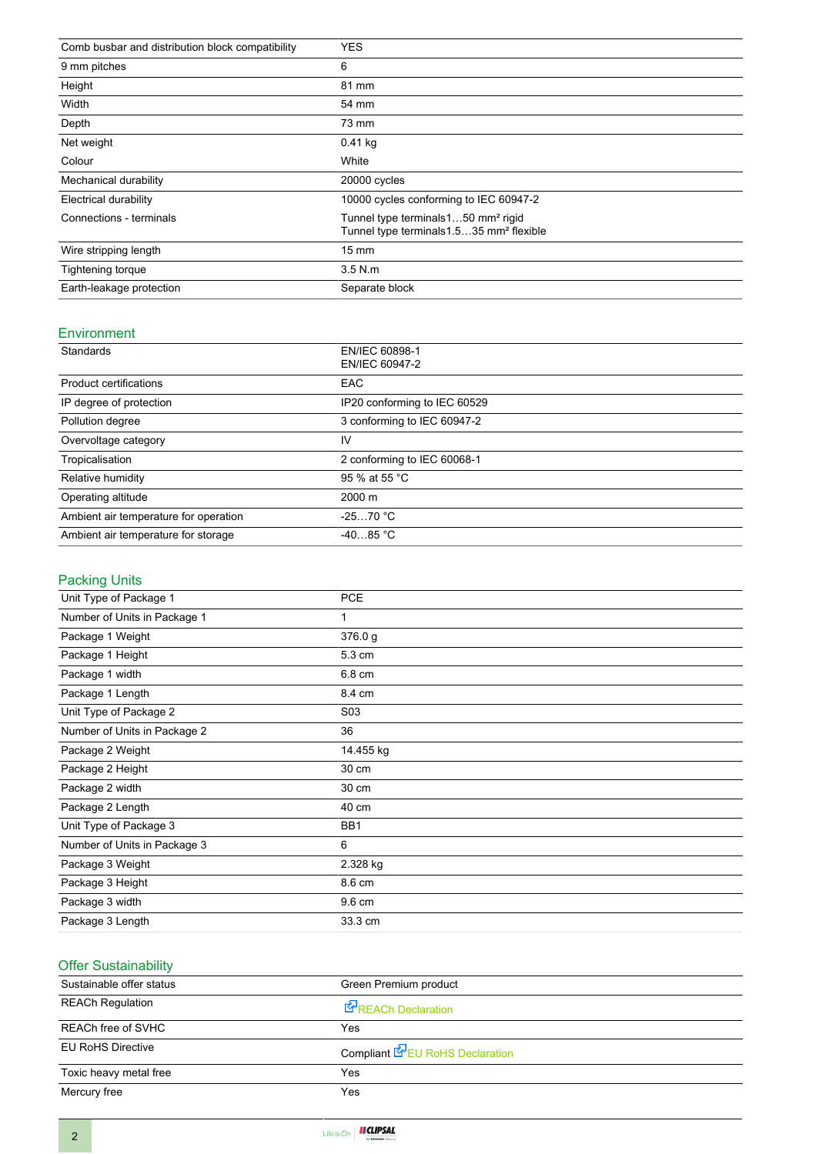| Comb busbar and distribution block compatibility | <b>YES</b>                                                                                             |
|--------------------------------------------------|--------------------------------------------------------------------------------------------------------|
| 9 mm pitches                                     | 6                                                                                                      |
| Height                                           | 81 mm                                                                                                  |
| Width                                            | 54 mm                                                                                                  |
| Depth                                            | 73 mm                                                                                                  |
| Net weight                                       | $0.41$ kg                                                                                              |
| Colour                                           | White                                                                                                  |
| Mechanical durability                            | 20000 cycles                                                                                           |
| Electrical durability                            | 10000 cycles conforming to IEC 60947-2                                                                 |
| Connections - terminals                          | Tunnel type terminals150 mm <sup>2</sup> rigid<br>Tunnel type terminals 1.535 mm <sup>2</sup> flexible |
| Wire stripping length                            | $15 \text{ mm}$                                                                                        |
| Tightening torque                                | $3.5$ N.m.                                                                                             |
| Earth-leakage protection                         | Separate block                                                                                         |

#### Environment

| Standards                             | EN/IEC 60898-1<br>EN/IEC 60947-2 |
|---------------------------------------|----------------------------------|
| <b>Product certifications</b>         | <b>EAC</b>                       |
| IP degree of protection               | IP20 conforming to IEC 60529     |
| Pollution degree                      | 3 conforming to IEC 60947-2      |
| Overvoltage category                  | IV                               |
| Tropicalisation                       | 2 conforming to IEC 60068-1      |
| Relative humidity                     | 95 % at 55 °C                    |
| Operating altitude                    | $2000 \; \text{m}$               |
| Ambient air temperature for operation | $-2570 °C$                       |
| Ambient air temperature for storage   | $-4085 °C$                       |

### Packing Units

| Unit Type of Package 1       | <b>PCE</b>       |
|------------------------------|------------------|
| Number of Units in Package 1 | 1                |
| Package 1 Weight             | 376.0 g          |
| Package 1 Height             | 5.3 cm           |
| Package 1 width              | 6.8 cm           |
| Package 1 Length             | 8.4 cm           |
| Unit Type of Package 2       | S <sub>0</sub> 3 |
| Number of Units in Package 2 | 36               |
| Package 2 Weight             | 14.455 kg        |
| Package 2 Height             | 30 cm            |
| Package 2 width              | 30 cm            |
| Package 2 Length             | 40 cm            |
| Unit Type of Package 3       | BB1              |
| Number of Units in Package 3 | 6                |
| Package 3 Weight             | 2.328 kg         |
| Package 3 Height             | 8.6 cm           |
| Package 3 width              | 9.6 cm           |
| Package 3 Length             | 33.3 cm          |

#### Offer Sustainability

| Sustainable offer status | Green Premium product                  |
|--------------------------|----------------------------------------|
| <b>REACh Regulation</b>  | <b>E</b> REACh Declaration             |
| REACh free of SVHC       | Yes                                    |
| <b>EU RoHS Directive</b> | Compliant <b>E</b> EU RoHS Declaration |
| Toxic heavy metal free   | Yes                                    |
| Mercury free             | Yes                                    |